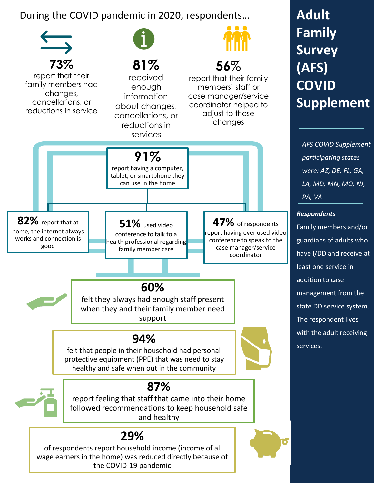During the COVID pandemic in 2020, respondents…



## **Adult Family Survey (AFS) COVID Supplement**

*AFS COVID Supplement participating states were: AZ, DE, FL, GA, LA, MD, MN, MO, NJ, PA, VA*

## *Respondents*

Family members and/or guardians of adults who have I/DD and receive at least one service in addition to case management from the state DD service system. The respondent lives with the adult receiving services.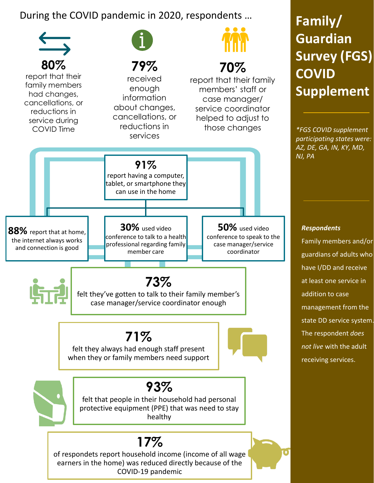During the COVID pandemic in 2020, respondents …